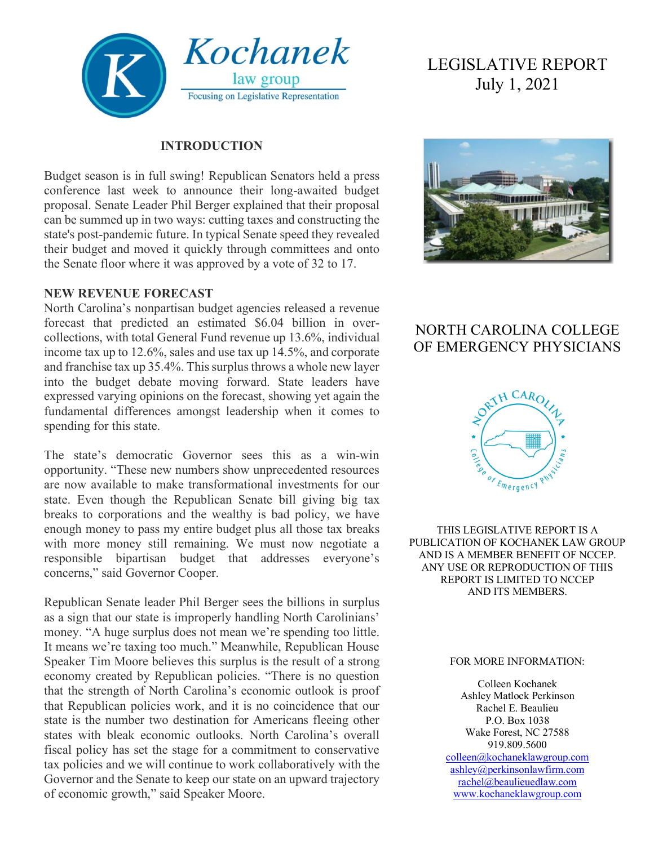

#### **INTRODUCTION**

Budget season is in full swing! Republican Senators held a press conference last week to announce their long-awaited budget proposal. Senate Leader Phil Berger explained that their proposal can be summed up in two ways: cutting taxes and constructing the state's post-pandemic future. In typical Senate speed they revealed their budget and moved it quickly through committees and onto the Senate floor where it was approved by a vote of 32 to 17.

#### **NEW REVENUE FORECAST**

North Carolina's nonpartisan budget agencies released a revenue forecast that predicted an estimated \$6.04 billion in overcollections, with total General Fund revenue up 13.6%, individual income tax up to 12.6%, sales and use tax up 14.5%, and corporate and franchise tax up 35.4%. This surplus throws a whole new layer into the budget debate moving forward. State leaders have expressed varying opinions on the forecast, showing yet again the fundamental differences amongst leadership when it comes to spending for this state.

The state's democratic Governor sees this as a win-win opportunity. "These new numbers show unprecedented resources are now available to make transformational investments for our state. Even though the Republican Senate bill giving big tax breaks to corporations and the wealthy is bad policy, we have enough money to pass my entire budget plus all those tax breaks with more money still remaining. We must now negotiate a responsible bipartisan budget that addresses everyone's concerns," said Governor Cooper.

Republican Senate leader Phil Berger sees the billions in surplus as a sign that our state is improperly handling North Carolinians' money. "A huge surplus does not mean we're spending too little. It means we're taxing too much." Meanwhile, Republican House Speaker Tim Moore believes this surplus is the result of a strong economy created by Republican policies. "There is no question that the strength of North Carolina's economic outlook is proof that Republican policies work, and it is no coincidence that our state is the number two destination for Americans fleeing other states with bleak economic outlooks. North Carolina's overall fiscal policy has set the stage for a commitment to conservative tax policies and we will continue to work collaboratively with the Governor and the Senate to keep our state on an upward trajectory of economic growth," said Speaker Moore.

# LEGISLATIVE REPORT July 1, 2021



# NORTH CAROLINA COLLEGE OF EMERGENCY PHYSICIANS



THIS LEGISLATIVE REPORT IS A PUBLICATION OF KOCHANEK LAW GROUP AND IS A MEMBER BENEFIT OF NCCEP. ANY USE OR REPRODUCTION OF THIS REPORT IS LIMITED TO NCCEP AND ITS MEMBERS.

#### FOR MORE INFORMATION:

Colleen Kochanek Ashley Matlock Perkinson Rachel E. Beaulieu P.O. Box 1038 Wake Forest, NC 27588 919.809.5600

[colleen@kochaneklawgroup.com](mailto:colleen@kochaneklawgroup.com) [ashley@perkinsonlawfirm.com](mailto:ashley@perkinsonlawfirm.com) [rachel@beaulieuedlaw.com](mailto:rachel@beaulieuedlaw.com) [www.kochaneklawgroup.com](http://www.kochaneklawgroup.com/)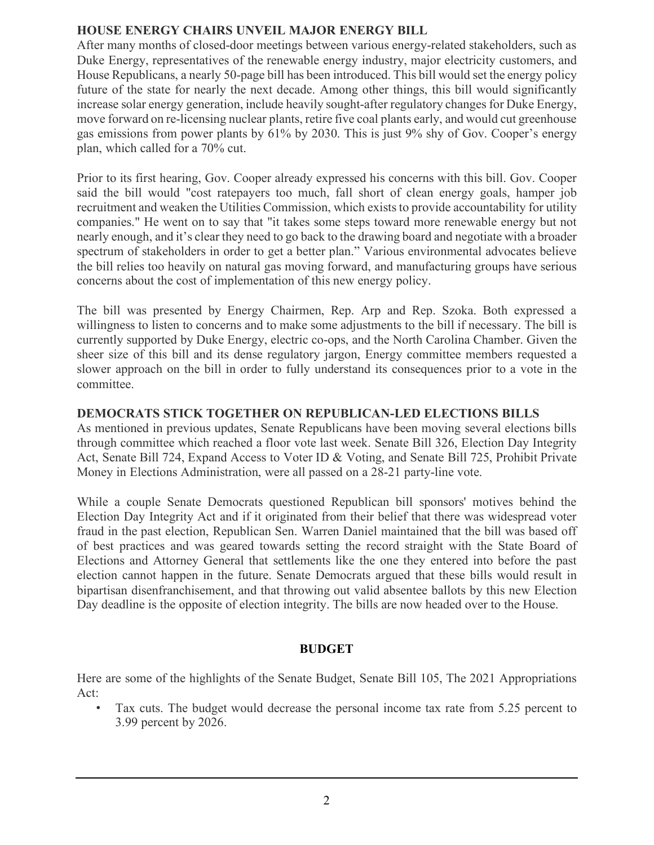#### **HOUSE ENERGY CHAIRS UNVEIL MAJOR ENERGY BILL**

After many months of closed-door meetings between various energy-related stakeholders, such as Duke Energy, representatives of the renewable energy industry, major electricity customers, and House Republicans, a nearly 50-page bill has been introduced. This bill would set the energy policy future of the state for nearly the next decade. Among other things, this bill would significantly increase solar energy generation, include heavily sought-after regulatory changes for Duke Energy, move forward on re-licensing nuclear plants, retire five coal plants early, and would cut greenhouse gas emissions from power plants by 61% by 2030. This is just 9% shy of Gov. Cooper's energy plan, which called for a 70% cut.

Prior to its first hearing, Gov. Cooper already expressed his concerns with this bill. Gov. Cooper said the bill would "cost ratepayers too much, fall short of clean energy goals, hamper job recruitment and weaken the Utilities Commission, which exists to provide accountability for utility companies." He went on to say that "it takes some steps toward more renewable energy but not nearly enough, and it's clear they need to go back to the drawing board and negotiate with a broader spectrum of stakeholders in order to get a better plan." Various environmental advocates believe the bill relies too heavily on natural gas moving forward, and manufacturing groups have serious concerns about the cost of implementation of this new energy policy.

The bill was presented by Energy Chairmen, Rep. Arp and Rep. Szoka. Both expressed a willingness to listen to concerns and to make some adjustments to the bill if necessary. The bill is currently supported by Duke Energy, electric co-ops, and the North Carolina Chamber. Given the sheer size of this bill and its dense regulatory jargon, Energy committee members requested a slower approach on the bill in order to fully understand its consequences prior to a vote in the committee.

### **DEMOCRATS STICK TOGETHER ON REPUBLICAN-LED ELECTIONS BILLS**

As mentioned in previous updates, Senate Republicans have been moving several elections bills through committee which reached a floor vote last week. Senate Bill 326, Election Day Integrity Act, Senate Bill 724, Expand Access to Voter ID & Voting, and Senate Bill 725, Prohibit Private Money in Elections Administration, were all passed on a 28-21 party-line vote.

While a couple Senate Democrats questioned Republican bill sponsors' motives behind the Election Day Integrity Act and if it originated from their belief that there was widespread voter fraud in the past election, Republican Sen. Warren Daniel maintained that the bill was based off of best practices and was geared towards setting the record straight with the State Board of Elections and Attorney General that settlements like the one they entered into before the past election cannot happen in the future. Senate Democrats argued that these bills would result in bipartisan disenfranchisement, and that throwing out valid absentee ballots by this new Election Day deadline is the opposite of election integrity. The bills are now headed over to the House.

### **BUDGET**

Here are some of the highlights of the Senate Budget, Senate Bill 105, The 2021 Appropriations Act:

Tax cuts. The budget would decrease the personal income tax rate from 5.25 percent to 3.99 percent by 2026.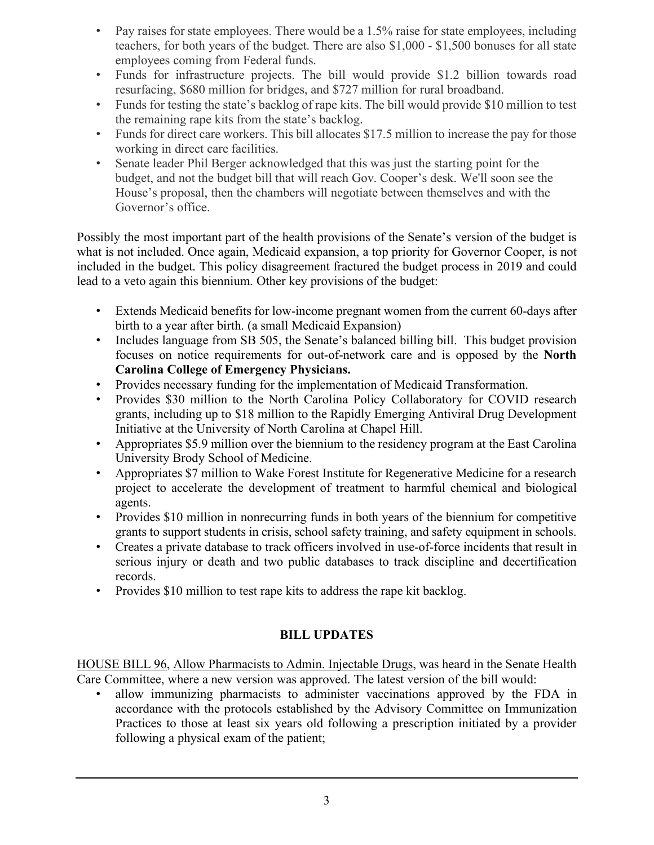- Pay raises for state employees. There would be a 1.5% raise for state employees, including teachers, for both years of the budget. There are also \$1,000 - \$1,500 bonuses for all state employees coming from Federal funds.
- Funds for infrastructure projects. The bill would provide \$1.2 billion towards road resurfacing, \$680 million for bridges, and \$727 million for rural broadband.
- Funds for testing the state's backlog of rape kits. The bill would provide \$10 million to test the remaining rape kits from the state's backlog.
- Funds for direct care workers. This bill allocates \$17.5 million to increase the pay for those working in direct care facilities.
- Senate leader Phil Berger acknowledged that this was just the starting point for the budget, and not the budget bill that will reach Gov. Cooper's desk. We'll soon see the House's proposal, then the chambers will negotiate between themselves and with the Governor's office.

Possibly the most important part of the health provisions of the Senate's version of the budget is what is not included. Once again, Medicaid expansion, a top priority for Governor Cooper, is not included in the budget. This policy disagreement fractured the budget process in 2019 and could lead to a veto again this biennium. Other key provisions of the budget:

- Extends Medicaid benefits for low-income pregnant women from the current 60-days after birth to a year after birth. (a small Medicaid Expansion)
- Includes language from SB 505, the Senate's balanced billing bill. This budget provision focuses on notice requirements for out-of-network care and is opposed by the **North Carolina College of Emergency Physicians.**
- Provides necessary funding for the implementation of Medicaid Transformation.
- Provides \$30 million to the North Carolina Policy Collaboratory for COVID research grants, including up to \$18 million to the Rapidly Emerging Antiviral Drug Development Initiative at the University of North Carolina at Chapel Hill.
- Appropriates \$5.9 million over the biennium to the residency program at the East Carolina University Brody School of Medicine.
- Appropriates \$7 million to Wake Forest Institute for Regenerative Medicine for a research project to accelerate the development of treatment to harmful chemical and biological agents.
- Provides \$10 million in nonrecurring funds in both years of the biennium for competitive grants to support students in crisis, school safety training, and safety equipment in schools.
- Creates a private database to track officers involved in use-of-force incidents that result in serious injury or death and two public databases to track discipline and decertification records.
- Provides \$10 million to test rape kits to address the rape kit backlog.

### **BILL UPDATES**

HOUSE BILL 96, Allow Pharmacists to Admin. Injectable Drugs, was heard in the Senate Health Care Committee, where a new version was approved. The latest version of the bill would:

• allow immunizing pharmacists to administer vaccinations approved by the FDA in accordance with the protocols established by the Advisory Committee on Immunization Practices to those at least six years old following a prescription initiated by a provider following a physical exam of the patient;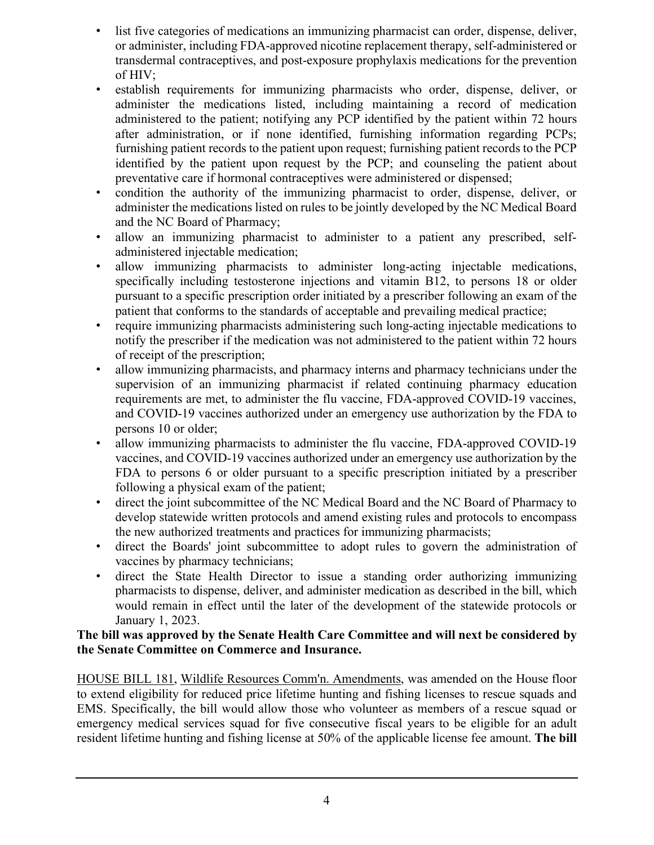- list five categories of medications an immunizing pharmacist can order, dispense, deliver, or administer, including FDA-approved nicotine replacement therapy, self-administered or transdermal contraceptives, and post-exposure prophylaxis medications for the prevention of HIV;
- establish requirements for immunizing pharmacists who order, dispense, deliver, or administer the medications listed, including maintaining a record of medication administered to the patient; notifying any PCP identified by the patient within 72 hours after administration, or if none identified, furnishing information regarding PCPs; furnishing patient records to the patient upon request; furnishing patient records to the PCP identified by the patient upon request by the PCP; and counseling the patient about preventative care if hormonal contraceptives were administered or dispensed;
- condition the authority of the immunizing pharmacist to order, dispense, deliver, or administer the medications listed on rules to be jointly developed by the NC Medical Board and the NC Board of Pharmacy;
- allow an immunizing pharmacist to administer to a patient any prescribed, selfadministered injectable medication;
- allow immunizing pharmacists to administer long-acting injectable medications, specifically including testosterone injections and vitamin B12, to persons 18 or older pursuant to a specific prescription order initiated by a prescriber following an exam of the patient that conforms to the standards of acceptable and prevailing medical practice;
- require immunizing pharmacists administering such long-acting injectable medications to notify the prescriber if the medication was not administered to the patient within 72 hours of receipt of the prescription;
- allow immunizing pharmacists, and pharmacy interns and pharmacy technicians under the supervision of an immunizing pharmacist if related continuing pharmacy education requirements are met, to administer the flu vaccine, FDA-approved COVID-19 vaccines, and COVID-19 vaccines authorized under an emergency use authorization by the FDA to persons 10 or older;
- allow immunizing pharmacists to administer the flu vaccine, FDA-approved COVID-19 vaccines, and COVID-19 vaccines authorized under an emergency use authorization by the FDA to persons 6 or older pursuant to a specific prescription initiated by a prescriber following a physical exam of the patient;
- direct the joint subcommittee of the NC Medical Board and the NC Board of Pharmacy to develop statewide written protocols and amend existing rules and protocols to encompass the new authorized treatments and practices for immunizing pharmacists;
- direct the Boards' joint subcommittee to adopt rules to govern the administration of vaccines by pharmacy technicians;
- direct the State Health Director to issue a standing order authorizing immunizing pharmacists to dispense, deliver, and administer medication as described in the bill, which would remain in effect until the later of the development of the statewide protocols or January 1, 2023.

#### **The bill was approved by the Senate Health Care Committee and will next be considered by the Senate Committee on Commerce and Insurance.**

HOUSE BILL 181, Wildlife Resources Comm'n. Amendments, was amended on the House floor to extend eligibility for reduced price lifetime hunting and fishing licenses to rescue squads and EMS. Specifically, the bill would allow those who volunteer as members of a rescue squad or emergency medical services squad for five consecutive fiscal years to be eligible for an adult resident lifetime hunting and fishing license at 50% of the applicable license fee amount. **The bill**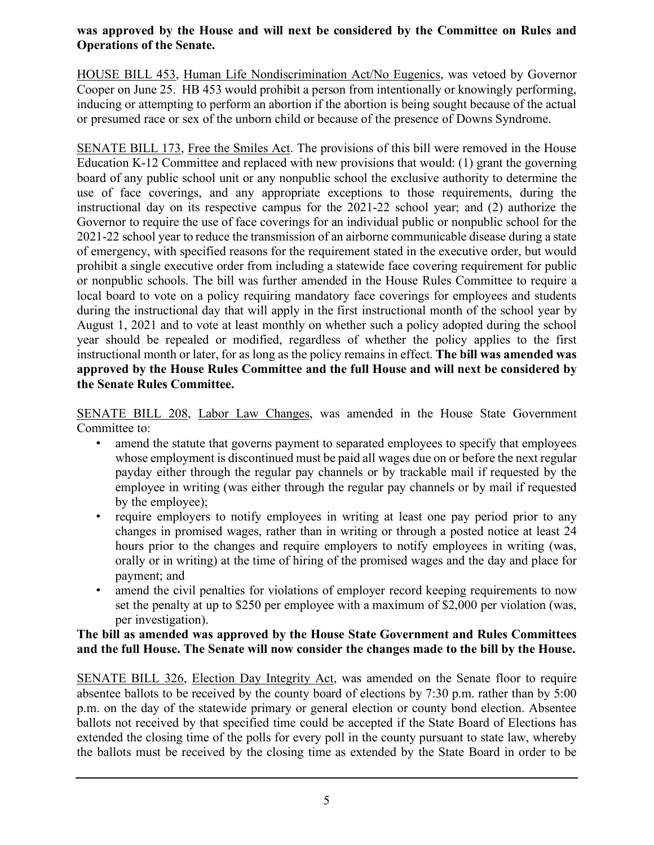#### **was approved by the House and will next be considered by the Committee on Rules and Operations of the Senate.**

HOUSE BILL 453, Human Life Nondiscrimination Act/No Eugenics, was vetoed by Governor Cooper on June 25. HB 453 would prohibit a person from intentionally or knowingly performing, inducing or attempting to perform an abortion if the abortion is being sought because of the actual or presumed race or sex of the unborn child or because of the presence of Downs Syndrome.

SENATE BILL 173, Free the Smiles Act. The provisions of this bill were removed in the House Education K-12 Committee and replaced with new provisions that would: (1) grant the governing board of any public school unit or any nonpublic school the exclusive authority to determine the use of face coverings, and any appropriate exceptions to those requirements, during the instructional day on its respective campus for the 2021-22 school year; and (2) authorize the Governor to require the use of face coverings for an individual public or nonpublic school for the 2021-22 school year to reduce the transmission of an airborne communicable disease during a state of emergency, with specified reasons for the requirement stated in the executive order, but would prohibit a single executive order from including a statewide face covering requirement for public or nonpublic schools. The bill was further amended in the House Rules Committee to require a local board to vote on a policy requiring mandatory face coverings for employees and students during the instructional day that will apply in the first instructional month of the school year by August 1, 2021 and to vote at least monthly on whether such a policy adopted during the school year should be repealed or modified, regardless of whether the policy applies to the first instructional month or later, for as long as the policy remains in effect. **The bill was amended was approved by the House Rules Committee and the full House and will next be considered by the Senate Rules Committee.**

SENATE BILL 208, Labor Law Changes, was amended in the House State Government Committee to:

- amend the statute that governs payment to separated employees to specify that employees whose employment is discontinued must be paid all wages due on or before the next regular payday either through the regular pay channels or by trackable mail if requested by the employee in writing (was either through the regular pay channels or by mail if requested by the employee);
- require employers to notify employees in writing at least one pay period prior to any changes in promised wages, rather than in writing or through a posted notice at least 24 hours prior to the changes and require employers to notify employees in writing (was, orally or in writing) at the time of hiring of the promised wages and the day and place for payment; and
- amend the civil penalties for violations of employer record keeping requirements to now set the penalty at up to \$250 per employee with a maximum of \$2,000 per violation (was, per investigation).

#### **The bill as amended was approved by the House State Government and Rules Committees and the full House. The Senate will now consider the changes made to the bill by the House.**

SENATE BILL 326, Election Day Integrity Act, was amended on the Senate floor to require absentee ballots to be received by the county board of elections by 7:30 p.m. rather than by 5:00 p.m. on the day of the statewide primary or general election or county bond election. Absentee ballots not received by that specified time could be accepted if the State Board of Elections has extended the closing time of the polls for every poll in the county pursuant to state law, whereby the ballots must be received by the closing time as extended by the State Board in order to be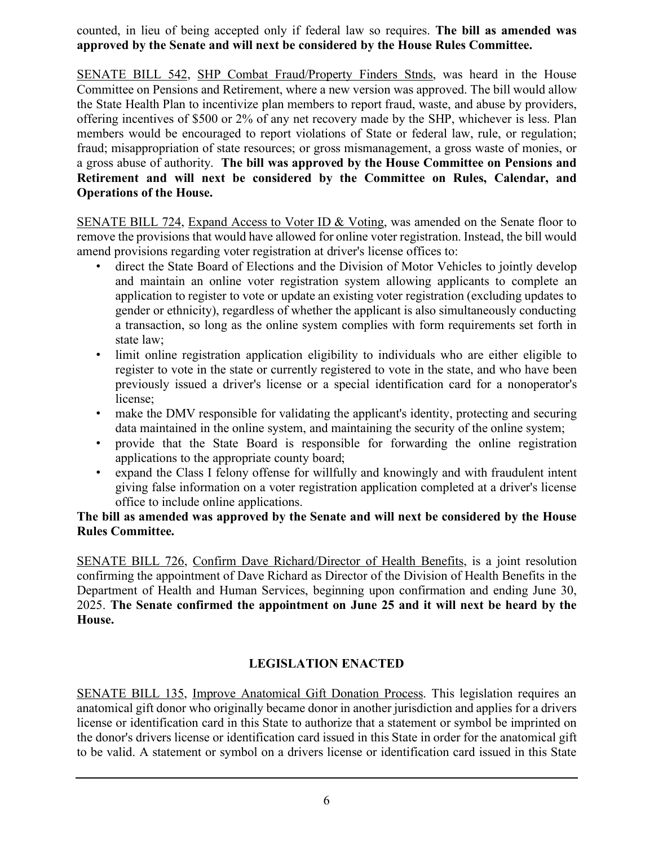counted, in lieu of being accepted only if federal law so requires. **The bill as amended was approved by the Senate and will next be considered by the House Rules Committee.**

SENATE BILL 542, SHP Combat Fraud/Property Finders Stnds, was heard in the House Committee on Pensions and Retirement, where a new version was approved. The bill would allow the State Health Plan to incentivize plan members to report fraud, waste, and abuse by providers, offering incentives of \$500 or 2% of any net recovery made by the SHP, whichever is less. Plan members would be encouraged to report violations of State or federal law, rule, or regulation; fraud; misappropriation of state resources; or gross mismanagement, a gross waste of monies, or a gross abuse of authority. **The bill was approved by the House Committee on Pensions and Retirement and will next be considered by the Committee on Rules, Calendar, and Operations of the House.**

SENATE BILL 724, Expand Access to Voter ID & Voting, was amended on the Senate floor to remove the provisions that would have allowed for online voter registration. Instead, the bill would amend provisions regarding voter registration at driver's license offices to:

- direct the State Board of Elections and the Division of Motor Vehicles to jointly develop and maintain an online voter registration system allowing applicants to complete an application to register to vote or update an existing voter registration (excluding updates to gender or ethnicity), regardless of whether the applicant is also simultaneously conducting a transaction, so long as the online system complies with form requirements set forth in state law;
- limit online registration application eligibility to individuals who are either eligible to register to vote in the state or currently registered to vote in the state, and who have been previously issued a driver's license or a special identification card for a nonoperator's license;
- make the DMV responsible for validating the applicant's identity, protecting and securing data maintained in the online system, and maintaining the security of the online system;
- provide that the State Board is responsible for forwarding the online registration applications to the appropriate county board;
- expand the Class I felony offense for willfully and knowingly and with fraudulent intent giving false information on a voter registration application completed at a driver's license office to include online applications.

#### **The bill as amended was approved by the Senate and will next be considered by the House Rules Committee.**

SENATE BILL 726, Confirm Dave Richard/Director of Health Benefits, is a joint resolution confirming the appointment of Dave Richard as Director of the Division of Health Benefits in the Department of Health and Human Services, beginning upon confirmation and ending June 30, 2025. **The Senate confirmed the appointment on June 25 and it will next be heard by the House.**

## **LEGISLATION ENACTED**

SENATE BILL 135, Improve Anatomical Gift Donation Process. This legislation requires an anatomical gift donor who originally became donor in another jurisdiction and applies for a drivers license or identification card in this State to authorize that a statement or symbol be imprinted on the donor's drivers license or identification card issued in this State in order for the anatomical gift to be valid. A statement or symbol on a drivers license or identification card issued in this State